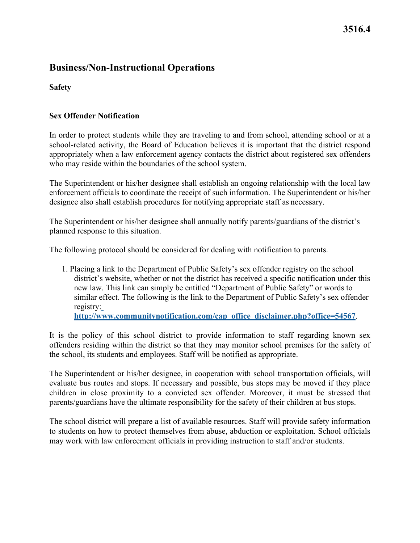# **3516.4**

### **Business/Non-Instructional Operations**

**Safety** 

#### **Sex Offender Notification**

 In order to protect students while they are traveling to and from school, attending school or at a school-related activity, the Board of Education believes it is important that the district respond appropriately when a law enforcement agency contacts the district about registered sex offenders who may reside within the boundaries of the school system.

 enforcement officials to coordinate the receipt of such information. The Superintendent or his/her designee also shall establish procedures for notifying appropriate staff as necessary. The Superintendent or his/her designee shall establish an ongoing relationship with the local law

The Superintendent or his/her designee shall annually notify parents/guardians of the district's planned response to this situation.

The following protocol should be considered for dealing with notification to parents.

1. Placing a link to the Department of Public Safety's sex offender registry on the school district's website, whether or not the district has received a specific notification under this new law. This link can simply be entitled "Department of Public Safety" or words to similar effect. The following is the link to the Department of Public Safety's sex offender registry[:](http://www.communitynotification.com/cap_office_disclaimer.php?office=54567) 

**[http://www.communitynotification.com/cap\\_office\\_disclaimer.php?office=54567](http://www.communitynotification.com/cap_office_disclaimer.php?office=54567)**.

It is the policy of this school district to provide information to staff regarding known sex offenders residing within the district so that they may monitor school premises for the safety of the school, its students and employees. Staff will be notified as appropriate.

The Superintendent or his/her designee, in cooperation with school transportation officials, will evaluate bus routes and stops. If necessary and possible, bus stops may be moved if they place children in close proximity to a convicted sex offender. Moreover, it must be stressed that parents/guardians have the ultimate responsibility for the safety of their children at bus stops.

The school district will prepare a list of available resources. Staff will provide safety information to students on how to protect themselves from abuse, abduction or exploitation. School officials may work with law enforcement officials in providing instruction to staff and/or students.